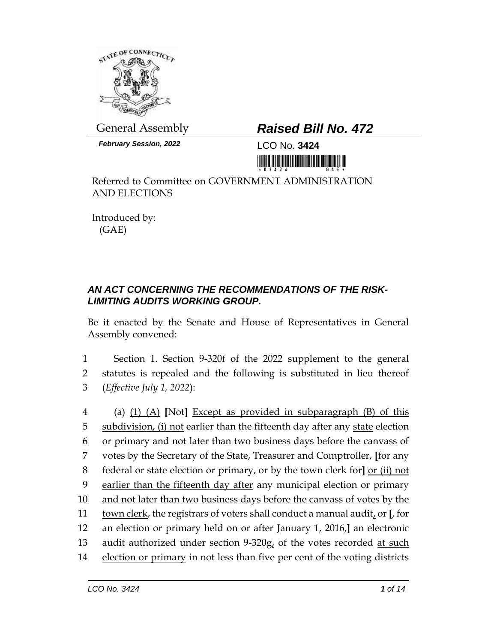

*February Session, 2022* LCO No. **3424**

## General Assembly *Raised Bill No. 472*

<u> Harry Harry Harry Harry Harry Harry Harry Harry Harry Harry Harry Harry Harry Harry Harry Harry Harry Harry H</u>

Referred to Committee on GOVERNMENT ADMINISTRATION AND ELECTIONS

Introduced by: (GAE)

## *AN ACT CONCERNING THE RECOMMENDATIONS OF THE RISK-LIMITING AUDITS WORKING GROUP.*

Be it enacted by the Senate and House of Representatives in General Assembly convened:

1 Section 1. Section 9-320f of the 2022 supplement to the general 2 statutes is repealed and the following is substituted in lieu thereof 3 (*Effective July 1, 2022*):

 (a) (1) (A) **[**Not**]** Except as provided in subparagraph (B) of this 5 subdivision, (i) not earlier than the fifteenth day after any state election or primary and not later than two business days before the canvass of votes by the Secretary of the State, Treasurer and Comptroller, **[**for any federal or state election or primary, or by the town clerk for**]** or (ii) not earlier than the fifteenth day after any municipal election or primary 10 and not later than two business days before the canvass of votes by the town clerk, the registrars of voters shall conduct a manual audit, or **[**, for an election or primary held on or after January 1, 2016,**]** an electronic 13 audit authorized under section 9-320g, of the votes recorded at such 14 election or primary in not less than five per cent of the voting districts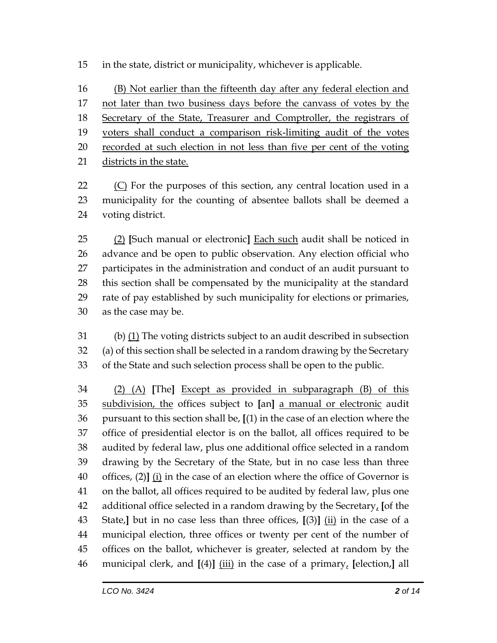in the state, district or municipality, whichever is applicable.

 (B) Not earlier than the fifteenth day after any federal election and not later than two business days before the canvass of votes by the 18 Secretary of the State, Treasurer and Comptroller, the registrars of voters shall conduct a comparison risk-limiting audit of the votes recorded at such election in not less than five per cent of the voting districts in the state.

 (C) For the purposes of this section, any central location used in a municipality for the counting of absentee ballots shall be deemed a voting district.

 (2) **[**Such manual or electronic**]** Each such audit shall be noticed in advance and be open to public observation. Any election official who participates in the administration and conduct of an audit pursuant to this section shall be compensated by the municipality at the standard rate of pay established by such municipality for elections or primaries, as the case may be.

 (b) (1) The voting districts subject to an audit described in subsection (a) of this section shall be selected in a random drawing by the Secretary of the State and such selection process shall be open to the public.

 (2) (A) **[**The**]** Except as provided in subparagraph (B) of this subdivision, the offices subject to **[**an**]** a manual or electronic audit pursuant to this section shall be, **[**(1) in the case of an election where the office of presidential elector is on the ballot, all offices required to be audited by federal law, plus one additional office selected in a random drawing by the Secretary of the State, but in no case less than three offices, (2)**]** (i) in the case of an election where the office of Governor is on the ballot, all offices required to be audited by federal law, plus one additional office selected in a random drawing by the Secretary, **[**of the State,**]** but in no case less than three offices, **[**(3)**]** (ii) in the case of a municipal election, three offices or twenty per cent of the number of offices on the ballot, whichever is greater, selected at random by the municipal clerk, and **[**(4)**]** (iii) in the case of a primary, **[**election,**]** all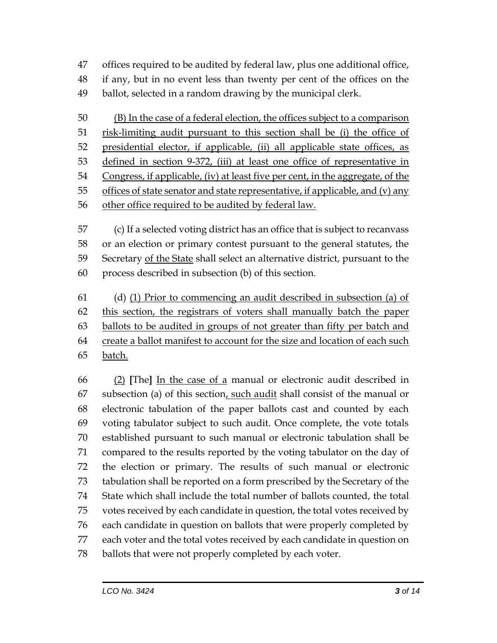offices required to be audited by federal law, plus one additional office, if any, but in no event less than twenty per cent of the offices on the

ballot, selected in a random drawing by the municipal clerk.

 (B) In the case of a federal election, the offices subject to a comparison risk-limiting audit pursuant to this section shall be (i) the office of presidential elector, if applicable, (ii) all applicable state offices, as defined in section 9-372, (iii) at least one office of representative in Congress, if applicable, (iv) at least five per cent, in the aggregate, of the 55 offices of state senator and state representative, if applicable, and (v) any other office required to be audited by federal law.

 (c) If a selected voting district has an office that is subject to recanvass or an election or primary contest pursuant to the general statutes, the 59 Secretary of the State shall select an alternative district, pursuant to the process described in subsection (b) of this section.

 (d) (1) Prior to commencing an audit described in subsection (a) of this section, the registrars of voters shall manually batch the paper ballots to be audited in groups of not greater than fifty per batch and create a ballot manifest to account for the size and location of each such batch.

 (2) **[**The**]** In the case of a manual or electronic audit described in 67 subsection (a) of this section, such audit shall consist of the manual or electronic tabulation of the paper ballots cast and counted by each voting tabulator subject to such audit. Once complete, the vote totals established pursuant to such manual or electronic tabulation shall be compared to the results reported by the voting tabulator on the day of the election or primary. The results of such manual or electronic tabulation shall be reported on a form prescribed by the Secretary of the State which shall include the total number of ballots counted, the total votes received by each candidate in question, the total votes received by each candidate in question on ballots that were properly completed by each voter and the total votes received by each candidate in question on ballots that were not properly completed by each voter.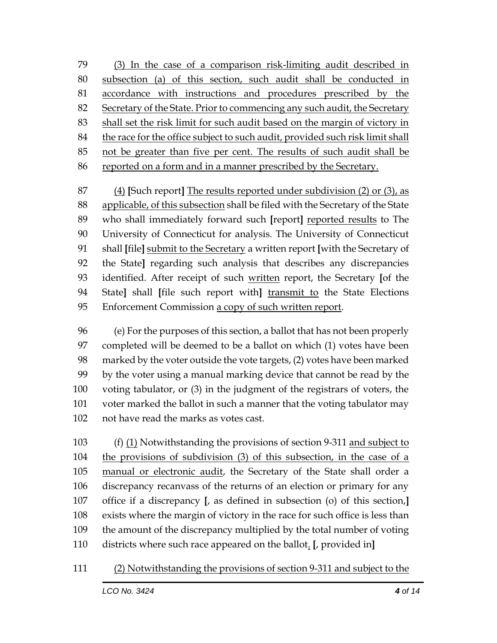(3) In the case of a comparison risk-limiting audit described in subsection (a) of this section, such audit shall be conducted in accordance with instructions and procedures prescribed by the 82 Secretary of the State. Prior to commencing any such audit, the Secretary shall set the risk limit for such audit based on the margin of victory in the race for the office subject to such audit, provided such risk limit shall not be greater than five per cent. The results of such audit shall be reported on a form and in a manner prescribed by the Secretary.

 (4) **[**Such report**]** The results reported under subdivision (2) or (3), as applicable, of this subsection shall be filed with the Secretary of the State who shall immediately forward such **[**report**]** reported results to The University of Connecticut for analysis. The University of Connecticut shall **[**file**]** submit to the Secretary a written report **[**with the Secretary of the State**]** regarding such analysis that describes any discrepancies identified. After receipt of such written report, the Secretary **[**of the State**]** shall **[**file such report with**]** transmit to the State Elections 95 Enforcement Commission a copy of such written report.

 (e) For the purposes of this section, a ballot that has not been properly completed will be deemed to be a ballot on which (1) votes have been marked by the voter outside the vote targets, (2) votes have been marked by the voter using a manual marking device that cannot be read by the voting tabulator, or (3) in the judgment of the registrars of voters, the voter marked the ballot in such a manner that the voting tabulator may not have read the marks as votes cast.

 (f) (1) Notwithstanding the provisions of section 9-311 and subject to the provisions of subdivision (3) of this subsection, in the case of a manual or electronic audit, the Secretary of the State shall order a discrepancy recanvass of the returns of an election or primary for any office if a discrepancy **[**, as defined in subsection (o) of this section,**]** exists where the margin of victory in the race for such office is less than the amount of the discrepancy multiplied by the total number of voting districts where such race appeared on the ballot. **[**, provided in**]**

## (2) Notwithstanding the provisions of section 9-311 and subject to the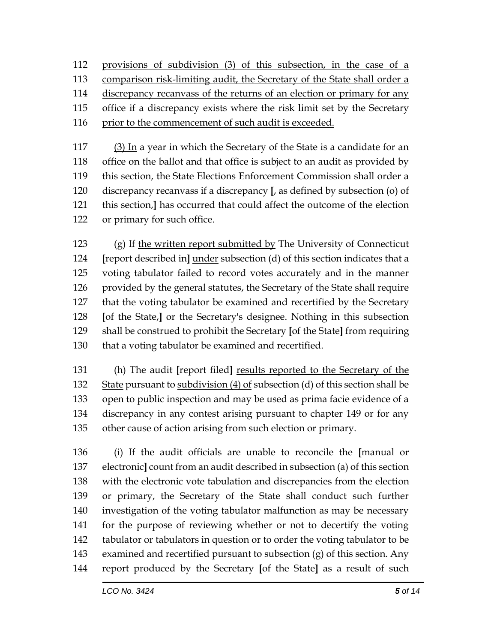provisions of subdivision (3) of this subsection, in the case of a 113 comparison risk-limiting audit, the Secretary of the State shall order a discrepancy recanvass of the returns of an election or primary for any office if a discrepancy exists where the risk limit set by the Secretary 116 prior to the commencement of such audit is exceeded.

 (3) In a year in which the Secretary of the State is a candidate for an office on the ballot and that office is subject to an audit as provided by this section, the State Elections Enforcement Commission shall order a discrepancy recanvass if a discrepancy **[**, as defined by subsection (o) of this section,**]** has occurred that could affect the outcome of the election or primary for such office.

 (g) If the written report submitted by The University of Connecticut **[**report described in**]** under subsection (d) of this section indicates that a voting tabulator failed to record votes accurately and in the manner provided by the general statutes, the Secretary of the State shall require that the voting tabulator be examined and recertified by the Secretary **[**of the State,**]** or the Secretary's designee. Nothing in this subsection shall be construed to prohibit the Secretary **[**of the State**]** from requiring that a voting tabulator be examined and recertified.

 (h) The audit **[**report filed**]** results reported to the Secretary of the 132 State pursuant to subdivision (4) of subsection (d) of this section shall be open to public inspection and may be used as prima facie evidence of a discrepancy in any contest arising pursuant to chapter 149 or for any other cause of action arising from such election or primary.

 (i) If the audit officials are unable to reconcile the **[**manual or electronic**]** count from an audit described in subsection (a) of this section with the electronic vote tabulation and discrepancies from the election or primary, the Secretary of the State shall conduct such further investigation of the voting tabulator malfunction as may be necessary for the purpose of reviewing whether or not to decertify the voting tabulator or tabulators in question or to order the voting tabulator to be examined and recertified pursuant to subsection (g) of this section. Any report produced by the Secretary **[**of the State**]** as a result of such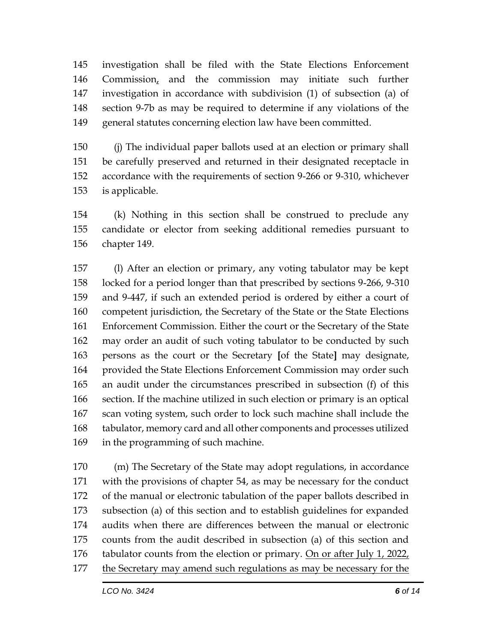investigation shall be filed with the State Elections Enforcement Commission, and the commission may initiate such further investigation in accordance with subdivision (1) of subsection (a) of section 9-7b as may be required to determine if any violations of the general statutes concerning election law have been committed.

 (j) The individual paper ballots used at an election or primary shall be carefully preserved and returned in their designated receptacle in accordance with the requirements of section 9-266 or 9-310, whichever is applicable.

 (k) Nothing in this section shall be construed to preclude any candidate or elector from seeking additional remedies pursuant to chapter 149.

 (l) After an election or primary, any voting tabulator may be kept locked for a period longer than that prescribed by sections 9-266, 9-310 and 9-447, if such an extended period is ordered by either a court of 160 competent jurisdiction, the Secretary of the State or the State Elections Enforcement Commission. Either the court or the Secretary of the State may order an audit of such voting tabulator to be conducted by such persons as the court or the Secretary **[**of the State**]** may designate, provided the State Elections Enforcement Commission may order such an audit under the circumstances prescribed in subsection (f) of this section. If the machine utilized in such election or primary is an optical scan voting system, such order to lock such machine shall include the tabulator, memory card and all other components and processes utilized in the programming of such machine.

 (m) The Secretary of the State may adopt regulations, in accordance with the provisions of chapter 54, as may be necessary for the conduct of the manual or electronic tabulation of the paper ballots described in subsection (a) of this section and to establish guidelines for expanded audits when there are differences between the manual or electronic counts from the audit described in subsection (a) of this section and tabulator counts from the election or primary. On or after July 1, 2022, the Secretary may amend such regulations as may be necessary for the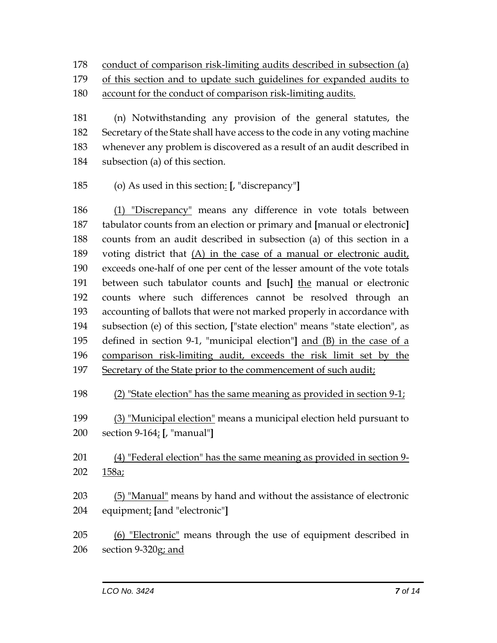conduct of comparison risk-limiting audits described in subsection (a)

of this section and to update such guidelines for expanded audits to

account for the conduct of comparison risk-limiting audits.

 (n) Notwithstanding any provision of the general statutes, the Secretary of the State shall have access to the code in any voting machine whenever any problem is discovered as a result of an audit described in subsection (a) of this section.

(o) As used in this section: **[**, "discrepancy"**]**

 (1) "Discrepancy" means any difference in vote totals between tabulator counts from an election or primary and **[**manual or electronic**]** counts from an audit described in subsection (a) of this section in a voting district that (A) in the case of a manual or electronic audit, exceeds one-half of one per cent of the lesser amount of the vote totals between such tabulator counts and **[**such**]** the manual or electronic counts where such differences cannot be resolved through an accounting of ballots that were not marked properly in accordance with subsection (e) of this section, **[**"state election" means "state election", as defined in section 9-1, "municipal election"**]** and (B) in the case of a comparison risk-limiting audit, exceeds the risk limit set by the Secretary of the State prior to the commencement of such audit;

(2) "State election" has the same meaning as provided in section 9-1;

 (3) "Municipal election" means a municipal election held pursuant to section 9-164; **[**, "manual"**]**

 (4) "Federal election" has the same meaning as provided in section 9- 158a;

 (5) "Manual" means by hand and without the assistance of electronic equipment; **[**and "electronic"**]**

205 (6) "Electronic" means through the use of equipment described in section 9-320g; and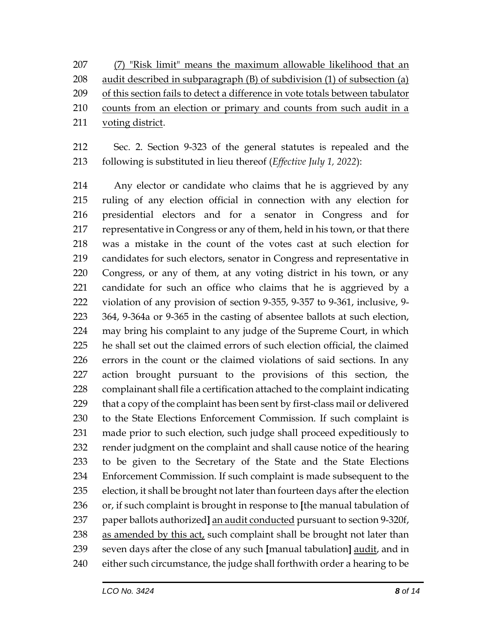(7) "Risk limit" means the maximum allowable likelihood that an audit described in subparagraph (B) of subdivision (1) of subsection (a) of this section fails to detect a difference in vote totals between tabulator counts from an election or primary and counts from such audit in a voting district.

 Sec. 2. Section 9-323 of the general statutes is repealed and the following is substituted in lieu thereof (*Effective July 1, 2022*):

 Any elector or candidate who claims that he is aggrieved by any ruling of any election official in connection with any election for presidential electors and for a senator in Congress and for representative in Congress or any of them, held in his town, or that there was a mistake in the count of the votes cast at such election for candidates for such electors, senator in Congress and representative in Congress, or any of them, at any voting district in his town, or any candidate for such an office who claims that he is aggrieved by a violation of any provision of section 9-355, 9-357 to 9-361, inclusive, 9- 364, 9-364a or 9-365 in the casting of absentee ballots at such election, may bring his complaint to any judge of the Supreme Court, in which he shall set out the claimed errors of such election official, the claimed errors in the count or the claimed violations of said sections. In any action brought pursuant to the provisions of this section, the complainant shall file a certification attached to the complaint indicating that a copy of the complaint has been sent by first-class mail or delivered to the State Elections Enforcement Commission. If such complaint is made prior to such election, such judge shall proceed expeditiously to render judgment on the complaint and shall cause notice of the hearing to be given to the Secretary of the State and the State Elections Enforcement Commission. If such complaint is made subsequent to the election, it shall be brought not later than fourteen days after the election or, if such complaint is brought in response to **[**the manual tabulation of paper ballots authorized**]** an audit conducted pursuant to section 9-320f, 238 as amended by this act, such complaint shall be brought not later than seven days after the close of any such **[**manual tabulation**]** audit, and in either such circumstance, the judge shall forthwith order a hearing to be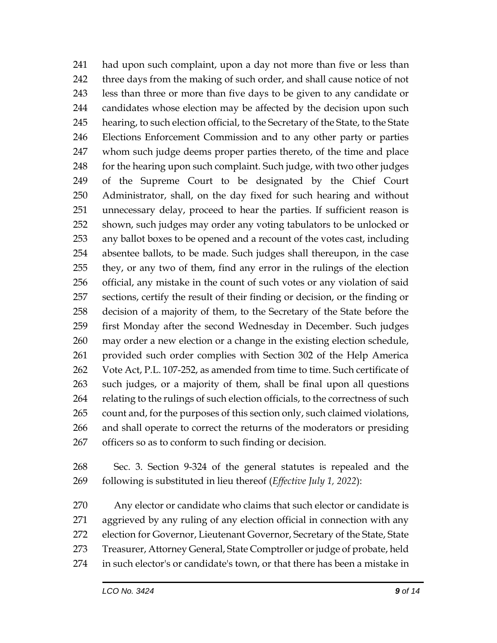had upon such complaint, upon a day not more than five or less than three days from the making of such order, and shall cause notice of not less than three or more than five days to be given to any candidate or candidates whose election may be affected by the decision upon such hearing, to such election official, to the Secretary of the State, to the State Elections Enforcement Commission and to any other party or parties whom such judge deems proper parties thereto, of the time and place 248 for the hearing upon such complaint. Such judge, with two other judges of the Supreme Court to be designated by the Chief Court Administrator, shall, on the day fixed for such hearing and without unnecessary delay, proceed to hear the parties. If sufficient reason is shown, such judges may order any voting tabulators to be unlocked or any ballot boxes to be opened and a recount of the votes cast, including absentee ballots, to be made. Such judges shall thereupon, in the case they, or any two of them, find any error in the rulings of the election official, any mistake in the count of such votes or any violation of said sections, certify the result of their finding or decision, or the finding or decision of a majority of them, to the Secretary of the State before the first Monday after the second Wednesday in December. Such judges may order a new election or a change in the existing election schedule, provided such order complies with Section 302 of the Help America Vote Act, P.L. 107-252, as amended from time to time. Such certificate of such judges, or a majority of them, shall be final upon all questions 264 relating to the rulings of such election officials, to the correctness of such count and, for the purposes of this section only, such claimed violations, and shall operate to correct the returns of the moderators or presiding officers so as to conform to such finding or decision.

 Sec. 3. Section 9-324 of the general statutes is repealed and the following is substituted in lieu thereof (*Effective July 1, 2022*):

 Any elector or candidate who claims that such elector or candidate is aggrieved by any ruling of any election official in connection with any election for Governor, Lieutenant Governor, Secretary of the State, State Treasurer, Attorney General, State Comptroller or judge of probate, held in such elector's or candidate's town, or that there has been a mistake in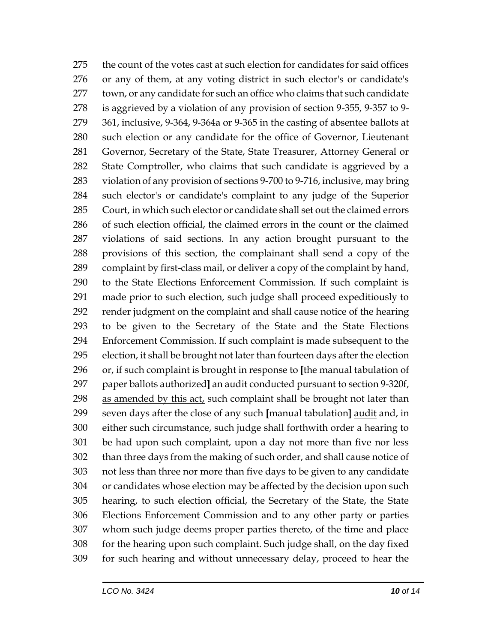the count of the votes cast at such election for candidates for said offices or any of them, at any voting district in such elector's or candidate's town, or any candidate for such an office who claims that such candidate is aggrieved by a violation of any provision of section 9-355, 9-357 to 9- 361, inclusive, 9-364, 9-364a or 9-365 in the casting of absentee ballots at such election or any candidate for the office of Governor, Lieutenant Governor, Secretary of the State, State Treasurer, Attorney General or State Comptroller, who claims that such candidate is aggrieved by a violation of any provision of sections 9-700 to 9-716, inclusive, may bring such elector's or candidate's complaint to any judge of the Superior Court, in which such elector or candidate shall set out the claimed errors of such election official, the claimed errors in the count or the claimed violations of said sections. In any action brought pursuant to the provisions of this section, the complainant shall send a copy of the complaint by first-class mail, or deliver a copy of the complaint by hand, to the State Elections Enforcement Commission. If such complaint is made prior to such election, such judge shall proceed expeditiously to render judgment on the complaint and shall cause notice of the hearing to be given to the Secretary of the State and the State Elections Enforcement Commission. If such complaint is made subsequent to the election, it shall be brought not later than fourteen days after the election or, if such complaint is brought in response to **[**the manual tabulation of paper ballots authorized**]** an audit conducted pursuant to section 9-320f, as amended by this act, such complaint shall be brought not later than seven days after the close of any such **[**manual tabulation**]** audit and, in either such circumstance, such judge shall forthwith order a hearing to be had upon such complaint, upon a day not more than five nor less than three days from the making of such order, and shall cause notice of not less than three nor more than five days to be given to any candidate or candidates whose election may be affected by the decision upon such hearing, to such election official, the Secretary of the State, the State Elections Enforcement Commission and to any other party or parties whom such judge deems proper parties thereto, of the time and place for the hearing upon such complaint. Such judge shall, on the day fixed for such hearing and without unnecessary delay, proceed to hear the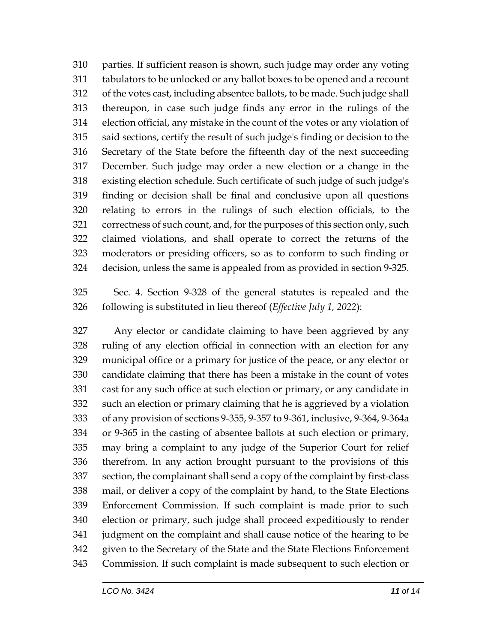parties. If sufficient reason is shown, such judge may order any voting tabulators to be unlocked or any ballot boxes to be opened and a recount of the votes cast, including absentee ballots, to be made. Such judge shall thereupon, in case such judge finds any error in the rulings of the election official, any mistake in the count of the votes or any violation of said sections, certify the result of such judge's finding or decision to the Secretary of the State before the fifteenth day of the next succeeding December. Such judge may order a new election or a change in the existing election schedule. Such certificate of such judge of such judge's finding or decision shall be final and conclusive upon all questions relating to errors in the rulings of such election officials, to the correctness of such count, and, for the purposes of this section only, such claimed violations, and shall operate to correct the returns of the moderators or presiding officers, so as to conform to such finding or decision, unless the same is appealed from as provided in section 9-325.

 Sec. 4. Section 9-328 of the general statutes is repealed and the following is substituted in lieu thereof (*Effective July 1, 2022*):

 Any elector or candidate claiming to have been aggrieved by any ruling of any election official in connection with an election for any municipal office or a primary for justice of the peace, or any elector or candidate claiming that there has been a mistake in the count of votes cast for any such office at such election or primary, or any candidate in such an election or primary claiming that he is aggrieved by a violation of any provision of sections 9-355, 9-357 to 9-361, inclusive, 9-364, 9-364a or 9-365 in the casting of absentee ballots at such election or primary, may bring a complaint to any judge of the Superior Court for relief therefrom. In any action brought pursuant to the provisions of this section, the complainant shall send a copy of the complaint by first-class mail, or deliver a copy of the complaint by hand, to the State Elections Enforcement Commission. If such complaint is made prior to such election or primary, such judge shall proceed expeditiously to render judgment on the complaint and shall cause notice of the hearing to be given to the Secretary of the State and the State Elections Enforcement Commission. If such complaint is made subsequent to such election or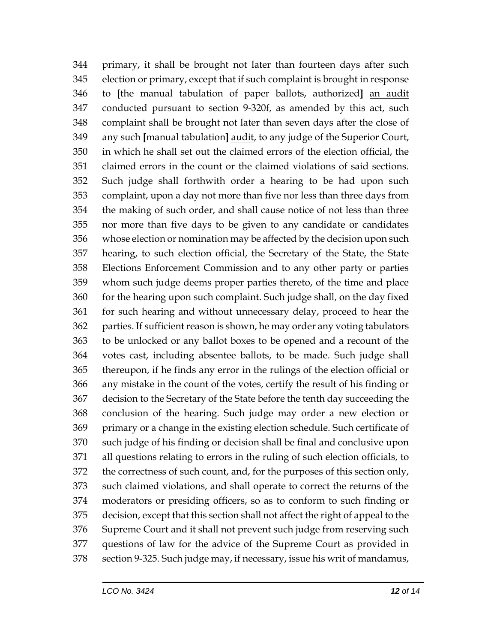primary, it shall be brought not later than fourteen days after such election or primary, except that if such complaint is brought in response to **[**the manual tabulation of paper ballots, authorized**]** an audit conducted pursuant to section 9-320f, as amended by this act, such complaint shall be brought not later than seven days after the close of any such **[**manual tabulation**]** audit, to any judge of the Superior Court, in which he shall set out the claimed errors of the election official, the claimed errors in the count or the claimed violations of said sections. Such judge shall forthwith order a hearing to be had upon such complaint, upon a day not more than five nor less than three days from the making of such order, and shall cause notice of not less than three nor more than five days to be given to any candidate or candidates whose election or nomination may be affected by the decision upon such hearing, to such election official, the Secretary of the State, the State Elections Enforcement Commission and to any other party or parties whom such judge deems proper parties thereto, of the time and place 360 for the hearing upon such complaint. Such judge shall, on the day fixed for such hearing and without unnecessary delay, proceed to hear the parties. If sufficient reason is shown, he may order any voting tabulators to be unlocked or any ballot boxes to be opened and a recount of the votes cast, including absentee ballots, to be made. Such judge shall thereupon, if he finds any error in the rulings of the election official or any mistake in the count of the votes, certify the result of his finding or decision to the Secretary of the State before the tenth day succeeding the conclusion of the hearing. Such judge may order a new election or primary or a change in the existing election schedule. Such certificate of such judge of his finding or decision shall be final and conclusive upon all questions relating to errors in the ruling of such election officials, to the correctness of such count, and, for the purposes of this section only, such claimed violations, and shall operate to correct the returns of the moderators or presiding officers, so as to conform to such finding or decision, except that this section shall not affect the right of appeal to the Supreme Court and it shall not prevent such judge from reserving such questions of law for the advice of the Supreme Court as provided in section 9-325. Such judge may, if necessary, issue his writ of mandamus,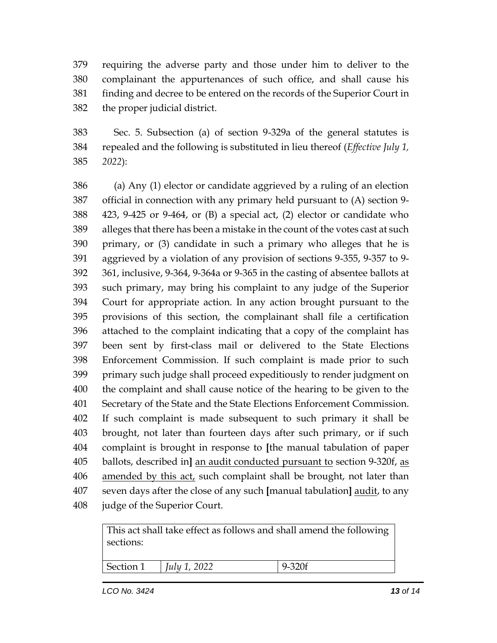requiring the adverse party and those under him to deliver to the complainant the appurtenances of such office, and shall cause his finding and decree to be entered on the records of the Superior Court in the proper judicial district.

 Sec. 5. Subsection (a) of section 9-329a of the general statutes is repealed and the following is substituted in lieu thereof (*Effective July 1, 2022*):

 (a) Any (1) elector or candidate aggrieved by a ruling of an election official in connection with any primary held pursuant to (A) section 9- 423, 9-425 or 9-464, or (B) a special act, (2) elector or candidate who alleges that there has been a mistake in the count of the votes cast at such primary, or (3) candidate in such a primary who alleges that he is aggrieved by a violation of any provision of sections 9-355, 9-357 to 9- 361, inclusive, 9-364, 9-364a or 9-365 in the casting of absentee ballots at such primary, may bring his complaint to any judge of the Superior Court for appropriate action. In any action brought pursuant to the provisions of this section, the complainant shall file a certification attached to the complaint indicating that a copy of the complaint has been sent by first-class mail or delivered to the State Elections Enforcement Commission. If such complaint is made prior to such primary such judge shall proceed expeditiously to render judgment on the complaint and shall cause notice of the hearing to be given to the Secretary of the State and the State Elections Enforcement Commission. If such complaint is made subsequent to such primary it shall be brought, not later than fourteen days after such primary, or if such complaint is brought in response to **[**the manual tabulation of paper ballots, described in**]** an audit conducted pursuant to section 9-320f, as 406 amended by this act, such complaint shall be brought, not later than seven days after the close of any such **[**manual tabulation**]** audit, to any judge of the Superior Court.

| This act shall take effect as follows and shall amend the following<br>sections: |              |            |  |
|----------------------------------------------------------------------------------|--------------|------------|--|
| Section 1                                                                        | July 1, 2022 | $9 - 320f$ |  |